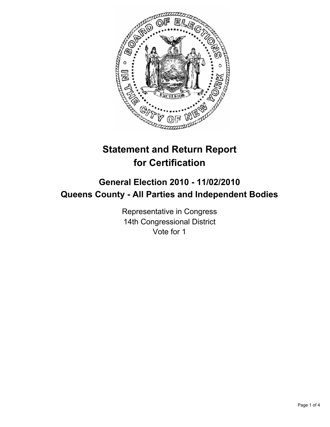

# **Statement and Return Report for Certification**

# **General Election 2010 - 11/02/2010 Queens County - All Parties and Independent Bodies**

Representative in Congress 14th Congressional District Vote for 1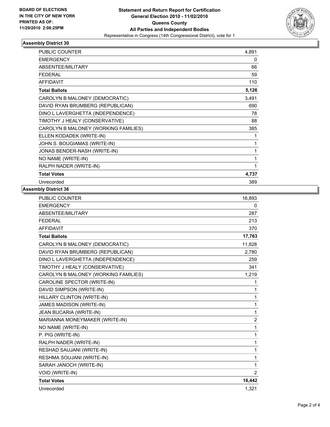

## **Assembly District 30**

| <b>PUBLIC COUNTER</b>                | 4,891 |
|--------------------------------------|-------|
| <b>EMERGENCY</b>                     | 0     |
| <b>ABSENTEE/MILITARY</b>             | 66    |
| <b>FEDERAL</b>                       | 59    |
| <b>AFFIDAVIT</b>                     | 110   |
| <b>Total Ballots</b>                 | 5,126 |
| CAROLYN B MALONEY (DEMOCRATIC)       | 3,491 |
| DAVID RYAN BRUMBERG (REPUBLICAN)     | 690   |
| DINO L LAVERGHETTA (INDEPENDENCE)    | 78    |
| TIMOTHY J HEALY (CONSERVATIVE)       | 88    |
| CAROLYN B MALONEY (WORKING FAMILIES) | 385   |
| ELLEN KODADEK (WRITE-IN)             | 1     |
| JOHN S. BOUGIAMAS (WRITE-IN)         | 1     |
| JONAS BENDER-NASH (WRITE-IN)         | 1     |
| NO NAME (WRITE-IN)                   | 1     |
| RALPH NADER (WRITE-IN)               | 1     |
| <b>Total Votes</b>                   | 4,737 |
| Unrecorded                           | 389   |

#### **Assembly District 36**

| <b>PUBLIC COUNTER</b>                | 16,893         |
|--------------------------------------|----------------|
| <b>EMERGENCY</b>                     | 0              |
| <b>ABSENTEE/MILITARY</b>             | 287            |
| <b>FEDERAL</b>                       | 213            |
| <b>AFFIDAVIT</b>                     | 370            |
| <b>Total Ballots</b>                 | 17,763         |
| CAROLYN B MALONEY (DEMOCRATIC)       | 11,828         |
| DAVID RYAN BRUMBERG (REPUBLICAN)     | 2.780          |
| DINO L LAVERGHETTA (INDEPENDENCE)    | 259            |
| TIMOTHY J HEALY (CONSERVATIVE)       | 341            |
| CAROLYN B MALONEY (WORKING FAMILIES) | 1,219          |
| CAROLINE SPECTOR (WRITE-IN)          | 1              |
| DAVID SIMPSON (WRITE-IN)             | 1              |
| HILLARY CLINTON (WRITE-IN)           | 1              |
| <b>JAMES MADISON (WRITE-IN)</b>      | 1              |
| JEAN BUCARIA (WRITE-IN)              | 1              |
| MARIANNA MONEYMAKER (WRITE-IN)       | $\overline{2}$ |
| NO NAME (WRITE-IN)                   | 1              |
| P. PIG (WRITE-IN)                    | 1              |
| RALPH NADER (WRITE-IN)               | 1              |
| RESHAD SAUJANI (WRITE-IN)            | 1              |
| RESHMA SOUJANI (WRITE-IN)            | 1              |
| SARAH JANOCH (WRITE-IN)              | 1              |
| <b>VOID (WRITE-IN)</b>               | 2              |
| <b>Total Votes</b>                   | 16,442         |
| Unrecorded                           | 1,321          |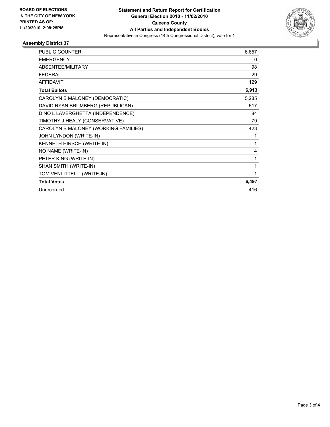

## **Assembly District 37**

| <b>PUBLIC COUNTER</b>                | 6,657 |
|--------------------------------------|-------|
| <b>EMERGENCY</b>                     | 0     |
| <b>ABSENTEE/MILITARY</b>             | 98    |
| <b>FEDERAL</b>                       | 29    |
| <b>AFFIDAVIT</b>                     | 129   |
| <b>Total Ballots</b>                 | 6,913 |
| CAROLYN B MALONEY (DEMOCRATIC)       | 5,285 |
| DAVID RYAN BRUMBERG (REPUBLICAN)     | 617   |
| DINO L LAVERGHETTA (INDEPENDENCE)    | 84    |
| TIMOTHY J HEALY (CONSERVATIVE)       | 79    |
| CAROLYN B MALONEY (WORKING FAMILIES) | 423   |
| JOHN LYNDON (WRITE-IN)               | 1     |
| KENNETH HIRSCH (WRITE-IN)            | 1     |
| NO NAME (WRITE-IN)                   | 4     |
| PETER KING (WRITE-IN)                | 1     |
| SHAN SMITH (WRITE-IN)                | 1     |
| TOM VENLITTELLI (WRITE-IN)           | 1     |
| <b>Total Votes</b>                   | 6,497 |
| Unrecorded                           | 416   |